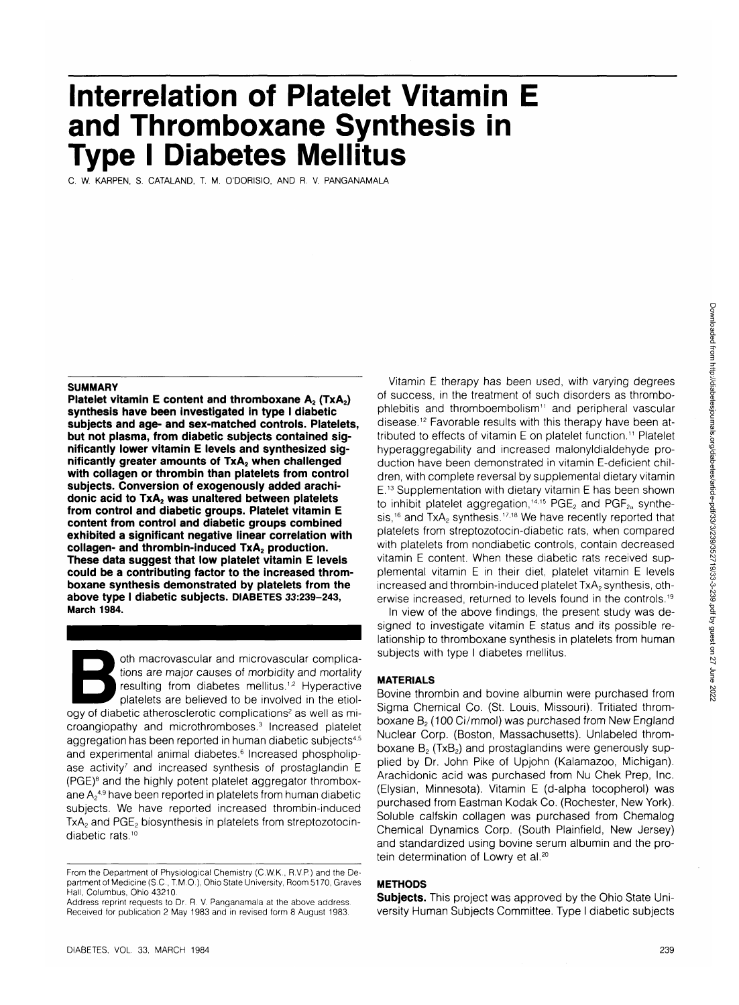# **Interrelation of Platelet Vitamin E and Thromboxane Synthesis in Type I Diabetes Mellitus**

**C. W. KARPEN, S. CATALAND, T. M. O'DORISIO, AND R. V. PANGANAMALA**

#### **SUMMARY**

Platelet vitamin E content and thromboxane A<sub>2</sub> (TxA<sub>2</sub>) **synthesis have been investigated in type I diabetic subjects and age- and sex-matched controls. Platelets, but not plasma, from diabetic subjects contained significantly lower vitamin E levels and synthesized sig**nificantly greater amounts of TxA<sub>2</sub> when challenged **with collagen or thrombin than platelets from control subjects. Conversion of exogenously added arachi**donic acid to TxA<sub>2</sub> was unaltered between platelets **from control and diabetic groups. Platelet vitamin E content from control and diabetic groups combined exhibited a significant negative linear correlation with** collagen- and thrombin-induced TxA<sub>2</sub> production. **These data suggest that low platelet vitamin E levels could be a contributing factor to the increased thromboxane synthesis demonstrated by platelets from the above type I diabetic subjects, DIABETES 33:239-243, March 1984.**

oth macrovascular and microvascular complica-<br>tions are major causes of morbidity and mortality<br>resulting from diabetes mellitus.<sup>1,2</sup> Hyperactive<br>platelets are believed to be involved in the etiol-<br>ogy of diabetic atheros tions are major causes of morbidity and mortality resulting from diabetes mellitus.<sup>1,2</sup> Hyperactive platelets are believed to be involved in the etiolcroangiopathy and microthromboses.<sup>3</sup> Increased platelet aggregation has been reported in human diabetic subjects<sup>4,5</sup> and experimental animal diabetes.<sup>6</sup> Increased phospholipase activity<sup>7</sup> and increased synthesis of prostaglandin E (PGE)8 and the highly potent platelet aggregator thromboxane  $A_2$ <sup>4,9</sup> have been reported in platelets from human diabetic subjects. We have reported increased thrombin-induced  $TxA<sub>2</sub>$  and  $PGE<sub>2</sub>$  biosynthesis in platelets from streptozotocindiabetic rats.<sup>10</sup>

Address reprint requests to Dr. R. V. Panganamala at the above address. Received for publication 2 May 1983 and in revised form 8 August 1983.

Vitamin E therapy has been used, with varying degrees of success, in the treatment of such disorders as thrombophlebitis and thromboembolism<sup>11</sup> and peripheral vascular disease.12 Favorable results with this therapy have been attributed to effects of vitamin E on platelet function.<sup>11</sup> Platelet hyperaggregability and increased malonyldialdehyde production have been demonstrated in vitamin E-deficient children, with complete reversal by supplemental dietary vitamin E.<sup>13</sup> Supplementation with dietary vitamin E has been shown to inhibit platelet aggregation,<sup>14,15</sup> PGE<sub>2</sub> and PGF<sub>2a</sub> synthesis,<sup>16</sup> and  $TxA<sub>2</sub>$  synthesis.<sup>17,18</sup> We have recently reported that platelets from streptozotocin-diabetic rats, when compared with platelets from nondiabetic controls, contain decreased vitamin E content. When these diabetic rats received supplemental vitamin E in their diet, platelet vitamin E levels increased and thrombin-induced platelet  $TxA<sub>2</sub>$  synthesis, otherwise increased, returned to levels found in the controls.19

In view of the above findings, the present study was designed to investigate vitamin E status and its possible relationship to thromboxane synthesis in platelets from human subjects with type I diabetes mellitus.

# **MATERIALS**

Bovine thrombin and bovine albumin were purchased from Sigma Chemical Co. (St. Louis, Missouri). Tritiated thromboxane B<sub>2</sub> (100 Ci/mmol) was purchased from New England Nuclear Corp. (Boston, Massachusetts). Unlabeled thromboxane  $B_2$  (Tx $B_2$ ) and prostaglandins were generously supplied by Dr. John Pike of Upjohn (Kalamazoo, Michigan). Arachidonic acid was purchased from Nu Chek Prep, Inc. (Elysian, Minnesota). Vitamin E (d-alpha tocopherol) was purchased from Eastman Kodak Co. (Rochester, New York). Soluble calfskin collagen was purchased from Chemalog Chemical Dynamics Corp. (South Plainfield, New Jersey) and standardized using bovine serum albumin and the protein determination of Lowry et al.<sup>20</sup>

# **METHODS**

**Subjects.** This project was approved by the Ohio State University Human Subjects Committee. Type I diabetic subjects

From the Department of Physiological Chemistry (C.W.K., R.V.P.) and the De-partment of Medicine (S.C., T.M.O.), Ohio State University, Room 5170, Graves Hall, Columbus, Ohio 43210.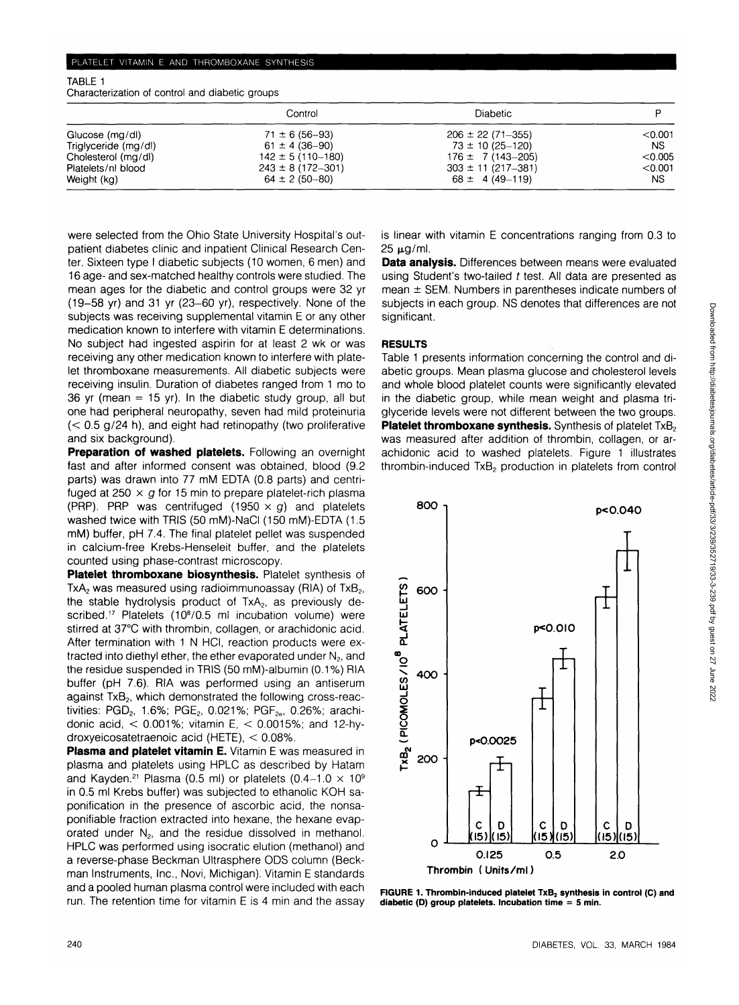## PLATELET VITAMIN E AND THROMBOXANE SYNTHESIS

| TABLE 1                                         |  |
|-------------------------------------------------|--|
| Characterization of control and diabetic groups |  |

|                      | Control                | <b>Diabetic</b>         |           |
|----------------------|------------------------|-------------------------|-----------|
| Glucose (mg/dl)      | $71 \pm 6 (56 - 93)$   | $206 \pm 22 (71 - 355)$ | < 0.001   |
| Triglyceride (mg/dl) | $61 \pm 4$ (36-90)     | $73 \pm 10 (25 - 120)$  | <b>NS</b> |
| Cholesterol (ma/dl)  | $142 \pm 5(110 - 180)$ | $176 \pm 7(143 - 205)$  | < 0.005   |
| Platelets/nl blood   | $243 \pm 8$ (172-301)  | $303 \pm 11$ (217-381)  | < 0.001   |
| Weight (kg)          | $64 \pm 2 (50 - 80)$   | $68 \pm 4(49-119)$      | <b>NS</b> |

were selected from the Ohio State University Hospital's outpatient diabetes clinic and inpatient Clinical Research Center. Sixteen type I diabetic subjects (10 women, 6 men) and 16 age- and sex-matched healthy controls were studied. The mean ages for the diabetic and control groups were 32 yr (19-58 yr) and 31 yr (23-60 yr), respectively. None of the subjects was receiving supplemental vitamin E or any other medication known to interfere with vitamin E determinations. No subject had ingested aspirin for at least 2 wk or was receiving any other medication known to interfere with platelet thromboxane measurements. All diabetic subjects were receiving insulin. Duration of diabetes ranged from 1 mo to 36 yr (mean  $= 15$  yr). In the diabetic study group, all but one had peripheral neuropathy, seven had mild proteinuria  $(< 0.5$  g/24 h), and eight had retinopathy (two proliferative and six background).

**Preparation of washed platelets.** Following an overnight fast and after informed consent was obtained, blood (9.2 parts) was drawn into 77 mM EDTA (0.8 parts) and centrifuged at 250  $\times$  g for 15 min to prepare platelet-rich plasma (PRP). PRP was centrifuged (1950  $\times$  g) and platelets washed twice with TRIS (50 mM)-NaCI (150 mM)-EDTA (1.5 mM) buffer, pH 7.4. The final platelet pellet was suspended in calcium-free Krebs-Henseleit buffer, and the platelets counted using phase-contrast microscopy.

**Platelet thromboxane biosynthesis.** Platelet synthesis of TxA<sub>2</sub> was measured using radioimmunoassay (RIA) of TxB<sub>2</sub>, the stable hydrolysis product of  $TxA<sub>2</sub>$ , as previously described.<sup>17</sup> Platelets (10<sup>8</sup>/0.5 ml incubation volume) were stirred at 37°C with thrombin, collagen, or arachidonic acid. After termination with 1 N HCI, reaction products were extracted into diethyl ether, the ether evaporated under  $N<sub>2</sub>$ , and the residue suspended in TRIS (50 mM)-albumin (0.1%) RIA buffer (pH 7.6). RIA was performed using an antiserum against TxB<sub>2</sub>, which demonstrated the following cross-reactivities: PGD<sub>2</sub>, 1.6%; PGE<sub>2</sub>, 0.021%; PGF<sub>2a</sub>, 0.26%; arachidonic acid,  $< 0.001\%$ ; vitamin E,  $< 0.0015\%$ ; and 12-hydroxyeicosatetraenoic acid (HETE), < 0.08%.

**Plasma and platelet vitamin E.** Vitamin E was measured in plasma and platelets using HPLC as described by Hatam and Kayden.<sup>21</sup> Plasma (0.5 ml) or platelets (0.4-1.0  $\times$  10<sup>9</sup> in 0.5 ml Krebs buffer) was subjected to ethanolic KOH saponification in the presence of ascorbic acid, the nonsaponifiable fraction extracted into hexane, the hexane evaporated under  $N_{2}$ , and the residue dissolved in methanol. HPLC was performed using isocratic elution (methanol) and a reverse-phase Beckman Ultrasphere ODS column (Beckman Instruments, Inc., Novi, Michigan). Vitamin E standards and a pooled human plasma control were included with each run. The retention time for vitamin E is 4 min and the assay is linear with vitamin E concentrations ranging from 0.3 to  $25 \mu g/ml$ .

**Data analysis.** Differences between means were evaluated using Student's two-tailed t test. All data are presented as mean  $\pm$  SEM. Numbers in parentheses indicate numbers of subjects in each group. NS denotes that differences are not significant.

## **RESULTS**

Table 1 presents information concerning the control and diabetic groups. Mean plasma glucose and cholesterol levels and whole blood platelet counts were significantly elevated in the diabetic group, while mean weight and plasma triglyceride levels were not different between the two groups. **Platelet thromboxane synthesis.** Synthesis of platelet TxB<sub>2</sub> was measured after addition of thrombin, collagen, or arachidonic acid to washed platelets. Figure 1 illustrates thrombin-induced TxB<sub>2</sub> production in platelets from control



**FIGURE 1. Thrombin-induced platelet TxB<sub>2</sub> synthesis in control (C) and diabetic (D) group platelets. Incubation time** = **5 min.**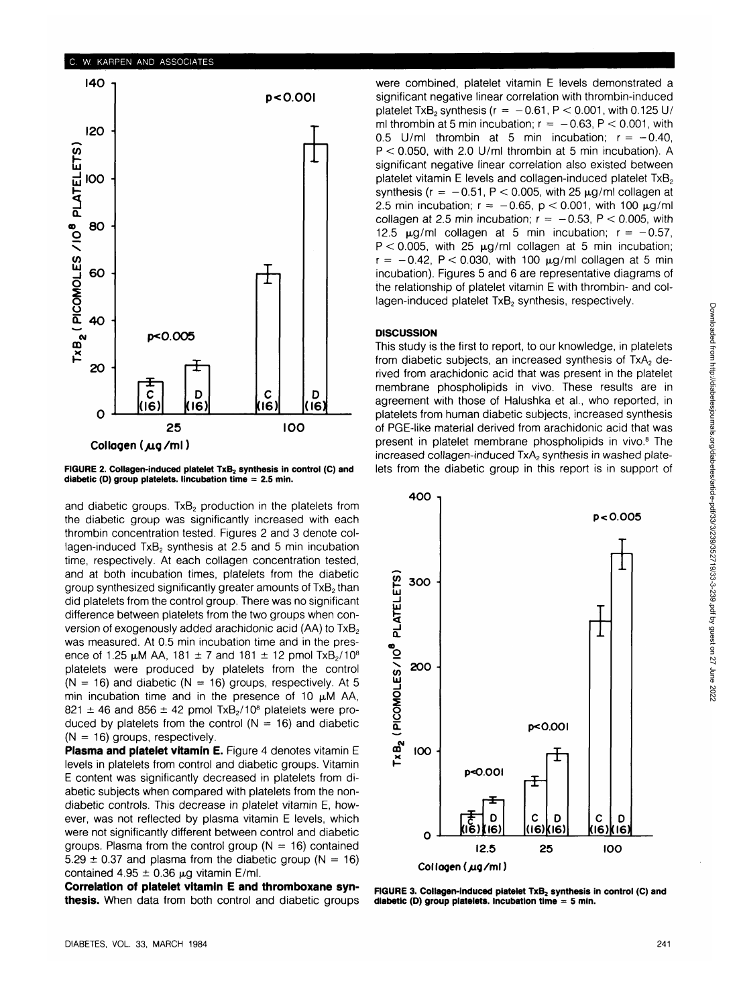

FIGURE 2. Collagen-induced platelet TxB<sub>2</sub> synthesis in control (C) and **diabetic (D) group platelets, lincubation time = 2.5 min.**

and diabetic groups. TxB<sub>2</sub> production in the platelets from the diabetic group was significantly increased with each thrombin concentration tested. Figures 2 and 3 denote collagen-induced TxB<sub>2</sub> synthesis at 2.5 and 5 min incubation time, respectively. At each collagen concentration tested, and at both incubation times, platelets from the diabetic group synthesized significantly greater amounts of  $TxB<sub>2</sub>$  than did platelets from the control group. There was no significant difference between platelets from the two groups when conversion of exogenously added arachidonic acid (AA) to  $TxB<sub>2</sub>$ was measured. At 0.5 min incubation time and in the presence of 1.25  $\mu$ M AA, 181  $\pm$  7 and 181  $\pm$  12 pmol TxB<sub>2</sub>/10<sup>8</sup> platelets were produced by platelets from the control  $(N = 16)$  and diabetic  $(N = 16)$  groups, respectively. At 5 min incubation time and in the presence of 10  $\mu$ M AA,  $821 \pm 46$  and  $856 \pm 42$  pmol TxB<sub>2</sub>/10<sup>8</sup> platelets were produced by platelets from the control ( $N = 16$ ) and diabetic  $(N = 16)$  groups, respectively.

**Plasma and platelet vitamin E.** Figure 4 denotes vitamin E levels in platelets from control and diabetic groups. Vitamin E content was significantly decreased in platelets from diabetic subjects when compared with platelets from the nondiabetic controls. This decrease in platelet vitamin E, however, was not reflected by plasma vitamin E levels, which were not significantly different between control and diabetic groups. Plasma from the control group ( $N = 16$ ) contained 5.29  $\pm$  0.37 and plasma from the diabetic group (N = 16) contained 4.95  $\pm$  0.36 µg vitamin E/ml.

**Correlation of platelet vitamin E and thromboxane synthesis.** When data from both control and diabetic groups were combined, platelet vitamin E levels demonstrated a significant negative linear correlation with thrombin-induced platelet TxB<sub>2</sub> synthesis ( $r = -0.61$ ,  $P < 0.001$ , with 0.125 U/ ml thrombin at 5 min incubation;  $r = -0.63$ ,  $P < 0.001$ , with 0.5 U/ml thrombin at 5 min incubation;  $r = -0.40$ ,  $P < 0.050$ , with 2.0 U/ml thrombin at 5 min incubation). A significant negative linear correlation also existed between platelet vitamin E levels and collagen-induced platelet TxB<sub>2</sub> synthesis ( $r = -0.51$ ,  $P < 0.005$ , with 25  $\mu$ g/ml collagen at 2.5 min incubation;  $r = -0.65$ ,  $p < 0.001$ , with 100  $\mu q/ml$ collagen at 2.5 min incubation;  $r = -0.53$ ,  $P < 0.005$ , with 12.5  $\mu$ g/ml collagen at 5 min incubation;  $r = -0.57$ .  $P < 0.005$ , with 25  $\mu$ g/ml collagen at 5 min incubation;  $r = -0.42$ , P < 0.030, with 100  $\mu$ g/ml collagen at 5 min incubation). Figures 5 and 6 are representative diagrams of the relationship of platelet vitamin E with thrombin- and collagen-induced platelet TxB<sub>2</sub> synthesis, respectively.

## **DISCUSSION**

This study is the first to report, to our knowledge, in platelets from diabetic subjects, an increased synthesis of TxA<sub>2</sub> derived from arachidonic acid that was present in the platelet membrane phospholipids in vivo. These results are in agreement with those of Halushka et al., who reported, in platelets from human diabetic subjects, increased synthesis of PGE-like material derived from arachidonic acid that was present in platelet membrane phospholipids in vivo.<sup>8</sup> The increased collagen-induced  $TxA<sub>2</sub>$  synthesis in washed platelets from the diabetic group in this report is in support of



FIGURE 3. Collagen-induced platelet TxB<sub>2</sub> synthesis in control (C) and **diabetic (D) group platelets. Incubation time = 5 min.**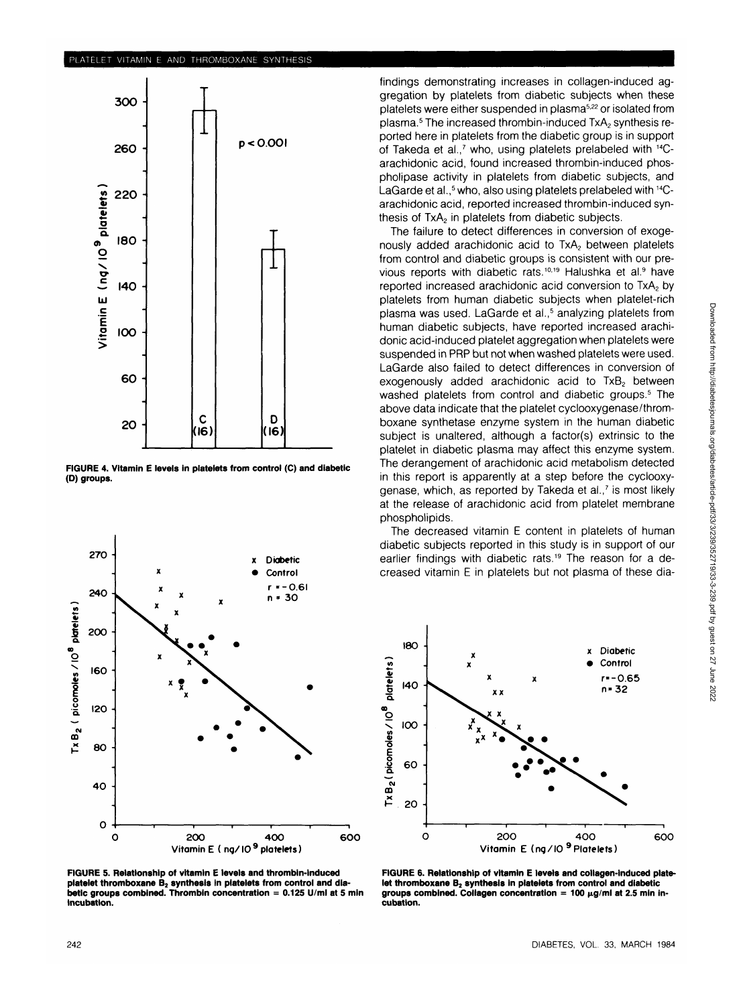

**FIGURE 4. Vitamin E levels in platelets from control (C) and diabetic (D) groups.**



**FIGURE 5. Relationship of vitamin E levels and thrombin-induced** platelet thromboxane B<sub>2</sub> synthesis in platelets from control and dia**betic groups combined. Thrombin concentration = 0.125 U/ml at 5 min incubation.**

findings demonstrating increases in collagen-induced aggregation by platelets from diabetic subjects when these platelets were either suspended in plasma<sup>5,22</sup> or isolated from plasma.<sup>5</sup> The increased thrombin-induced TxA<sub>2</sub> synthesis reported here in platelets from the diabetic group is in support of Takeda et al.,7 who, using platelets prelabeled with <sup>14</sup>Carachidonic acid, found increased thrombin-induced phospholipase activity in platelets from diabetic subjects, and LaGarde et al.,<sup>5</sup> who, also using platelets prelabeled with <sup>14</sup>Carachidonic acid, reported increased thrombin-induced synthesis of TxA<sub>2</sub> in platelets from diabetic subjects.

The failure to detect differences in conversion of exogenously added arachidonic acid to TxA<sub>2</sub> between platelets from control and diabetic groups is consistent with our previous reports with diabetic rats.<sup>10,19</sup> Halushka et al.<sup>9</sup> have reported increased arachidonic acid conversion to TxA<sub>2</sub> by platelets from human diabetic subjects when platelet-rich plasma was used. LaGarde et al.,<sup>5</sup> analyzing platelets from human diabetic subjects, have reported increased arachidonic acid-induced platelet aggregation when platelets were suspended in PRP but not when washed platelets were used. LaGarde also failed to detect differences in conversion of exogenously added arachidonic acid to TxB<sub>2</sub> between washed platelets from control and diabetic groups.<sup>5</sup> The above data indicate that the platelet cyclooxygenase/thromboxane synthetase enzyme system in the human diabetic subject is unaltered, although a factor(s) extrinsic to the platelet in diabetic plasma may affect this enzyme system. The derangement of arachidonic acid metabolism detected in this report is apparently at a step before the cyclooxygenase, which, as reported by Takeda et al.,<sup>7</sup> is most likely at the release of arachidonic acid from platelet membrane phospholipids.

The decreased vitamin E content in platelets of human diabetic subjects reported in this study is in support of our earlier findings with diabetic rats.<sup>19</sup> The reason for a decreased vitamin E in platelets but not plasma of these dia-



**FIGURE 6. Relationship of vitamin E levels and collagen-induced plate**let thromboxane B<sub>2</sub> synthesis in platelets from control and diabetic **groups combined. Collagen concentration = 100 ng/ml at 2.5 min incubation.**